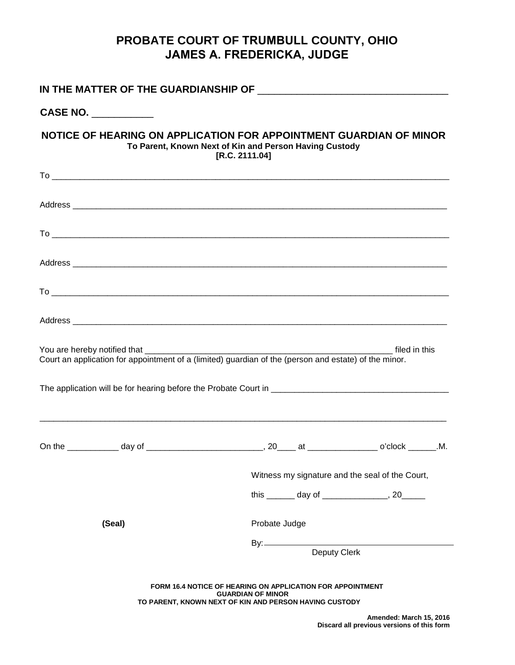## **PROBATE COURT OF TRUMBULL COUNTY, OHIO JAMES A. FREDERICKA, JUDGE**

| CASE NO. _________                                                                                                                                                                                                                   |                                                                                                                                                         |  |                                              |  |
|--------------------------------------------------------------------------------------------------------------------------------------------------------------------------------------------------------------------------------------|---------------------------------------------------------------------------------------------------------------------------------------------------------|--|----------------------------------------------|--|
| NOTICE OF HEARING ON APPLICATION FOR APPOINTMENT GUARDIAN OF MINOR<br>To Parent, Known Next of Kin and Person Having Custody                                                                                                         | [R.C. 2111.04]                                                                                                                                          |  |                                              |  |
|                                                                                                                                                                                                                                      |                                                                                                                                                         |  |                                              |  |
|                                                                                                                                                                                                                                      |                                                                                                                                                         |  |                                              |  |
|                                                                                                                                                                                                                                      |                                                                                                                                                         |  |                                              |  |
| Address <b>contract to the contract of the contract of the contract of the contract of the contract of the contract of the contract of the contract of the contract of the contract of the contract of the contract of the contr</b> |                                                                                                                                                         |  |                                              |  |
|                                                                                                                                                                                                                                      |                                                                                                                                                         |  |                                              |  |
|                                                                                                                                                                                                                                      |                                                                                                                                                         |  |                                              |  |
| You are hereby notified that __________<br>Court an application for appointment of a (limited) guardian of the (person and estate) of the minor.                                                                                     |                                                                                                                                                         |  |                                              |  |
|                                                                                                                                                                                                                                      |                                                                                                                                                         |  |                                              |  |
|                                                                                                                                                                                                                                      | Witness my signature and the seal of the Court,                                                                                                         |  |                                              |  |
|                                                                                                                                                                                                                                      |                                                                                                                                                         |  | this _______ day of _______________, 20_____ |  |
| (Seal)                                                                                                                                                                                                                               | Probate Judge                                                                                                                                           |  |                                              |  |
|                                                                                                                                                                                                                                      | Deputy Clerk                                                                                                                                            |  |                                              |  |
|                                                                                                                                                                                                                                      | <b>FORM 16.4 NOTICE OF HEARING ON APPLICATION FOR APPOINTMENT</b><br><b>GUARDIAN OF MINOR</b><br>TO PARENT, KNOWN NEXT OF KIN AND PERSON HAVING CUSTODY |  | Amended: March 15, 2016                      |  |